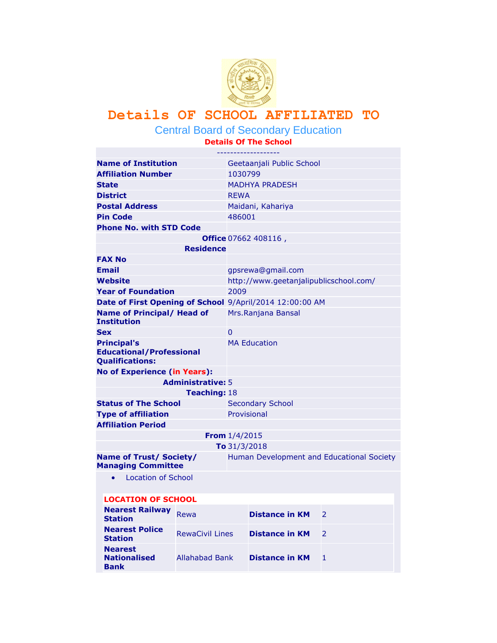

## **Details OF SCHOOL AFFILIATED TO**

Central Board of Secondary Education

**Details Of The School**

| <b>Name of Institution</b>                                                      |                        |                         | Geetaanjali Public School              |                                           |
|---------------------------------------------------------------------------------|------------------------|-------------------------|----------------------------------------|-------------------------------------------|
| <b>Affiliation Number</b>                                                       |                        | 1030799                 |                                        |                                           |
| <b>State</b>                                                                    |                        |                         | <b>MADHYA PRADESH</b>                  |                                           |
| <b>District</b>                                                                 |                        | <b>REWA</b>             |                                        |                                           |
| <b>Postal Address</b>                                                           |                        |                         | Maidani, Kahariya                      |                                           |
| <b>Pin Code</b>                                                                 |                        | 486001                  |                                        |                                           |
| <b>Phone No. with STD Code</b>                                                  |                        |                         |                                        |                                           |
|                                                                                 |                        |                         | <b>Office</b> $07662 408116$ ,         |                                           |
|                                                                                 | Residence              |                         |                                        |                                           |
| <b>FAX No</b>                                                                   |                        |                         |                                        |                                           |
| <b>Email</b>                                                                    |                        |                         | gpsrewa@gmail.com                      |                                           |
| Website                                                                         |                        |                         | http://www.geetanjalipublicschool.com/ |                                           |
| <b>Year of Foundation</b>                                                       |                        | 2009                    |                                        |                                           |
| Date of First Opening of School 9/April/2014 12:00:00 AM                        |                        |                         |                                        |                                           |
| Name of Principal/ Head of<br><b>Institution</b>                                |                        |                         | Mrs.Ranjana Bansal                     |                                           |
| <b>Sex</b>                                                                      |                        | $\mathbf{0}$            |                                        |                                           |
| <b>Principal's</b><br><b>Educational/Professional</b><br><b>Qualifications:</b> |                        |                         | <b>MA Education</b>                    |                                           |
| <b>No of Experience (in Years):</b>                                             |                        |                         |                                        |                                           |
| <b>Administrative: 5</b>                                                        |                        |                         |                                        |                                           |
|                                                                                 | <b>Teaching: 18</b>    |                         |                                        |                                           |
| <b>Status of The School</b>                                                     |                        | <b>Secondary School</b> |                                        |                                           |
| <b>Type of affiliation</b>                                                      |                        | Provisional             |                                        |                                           |
| <b>Affiliation Period</b>                                                       |                        |                         |                                        |                                           |
|                                                                                 | From $1/4/2015$        |                         |                                        |                                           |
|                                                                                 |                        | To $31/3/2018$          |                                        |                                           |
| <b>Name of Trust/ Society/</b><br><b>Managing Committee</b>                     |                        |                         |                                        | Human Development and Educational Society |
| <b>Location of School</b><br>$\bullet$                                          |                        |                         |                                        |                                           |
| <b>LOCATION OF SCHOOL</b>                                                       |                        |                         |                                        |                                           |
| <b>Nearest Railway</b><br><b>Station</b>                                        | Rewa                   |                         | <b>Distance in KM</b>                  | 2                                         |
| <b>Nearest Police</b><br><b>Station</b>                                         | <b>RewaCivil Lines</b> |                         | <b>Distance in KM</b>                  | 2                                         |
| <b>Nearest</b><br><b>Nationalised</b><br>Bank                                   | <b>Allahabad Bank</b>  |                         | <b>Distance in KM</b>                  | 1                                         |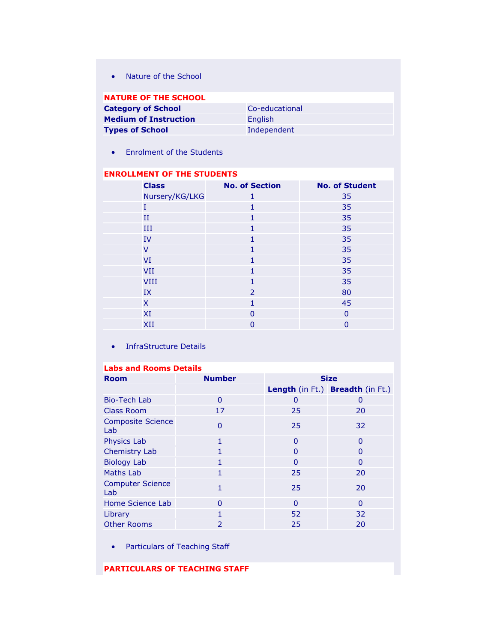• [Nature of the School](javascript:Show_hide_ul()

| <b>NATURE OF THE SCHOOL</b>  |                |
|------------------------------|----------------|
| <b>Category of School</b>    | Co-educational |
| <b>Medium of Instruction</b> | <b>English</b> |
| <b>Types of School</b>       | Independent    |

[Enrolment of the Students](javascript:Show_hide_ul()

## **ENROLLMENT OF THE STUDENTS**

| <b>Class</b>   | <b>No. of Section</b> | <b>No. of Student</b> |
|----------------|-----------------------|-----------------------|
| Nursery/KG/LKG | 1                     | 35                    |
| T              | 1                     | 35                    |
| $_{\rm II}$    | 1                     | 35                    |
| III            |                       | 35                    |
| <b>IV</b>      | 1                     | 35                    |
| $\vee$         | 1                     | 35                    |
| VI             |                       | 35                    |
| <b>VII</b>     | 1                     | 35                    |
| <b>VIII</b>    | 1                     | 35                    |
| IX             | 2                     | 80                    |
| X              |                       | 45                    |
| XI             | $\Omega$              | $\Omega$              |
| XII            | ი                     | $\overline{0}$        |

• [InfraStructure Details](javascript:Show_hide_ul()

## **Labs and Rooms Details**

| <b>Room</b>                     | <b>Number</b>            | <b>Size</b> |                                  |
|---------------------------------|--------------------------|-------------|----------------------------------|
|                                 |                          |             | Length (in Ft.) Breadth (in Ft.) |
| <b>Bio-Tech Lab</b>             | $\Omega$                 | 0           | $\Omega$                         |
| <b>Class Room</b>               | 17                       | 25          | 20                               |
| <b>Composite Science</b><br>Lab | $\overline{0}$           | 25          | 32                               |
| <b>Physics Lab</b>              | 1                        | $\Omega$    | $\Omega$                         |
| <b>Chemistry Lab</b>            |                          | $\Omega$    | 0                                |
| <b>Biology Lab</b>              | 1                        | $\Omega$    | $\Omega$                         |
| Maths Lab                       |                          | 25          | 20                               |
| <b>Computer Science</b><br>Lab  |                          | 25          | 20                               |
| Home Science Lab                | O                        | $\Omega$    | $\Omega$                         |
| Library                         | 1                        | 52          | 32                               |
| <b>Other Rooms</b>              | $\overline{\phantom{a}}$ | 25          | 20                               |

- Particulars of [Teaching Staff](javascript:Show_hide_ul()
- **PARTICULARS OF TEACHING STAFF**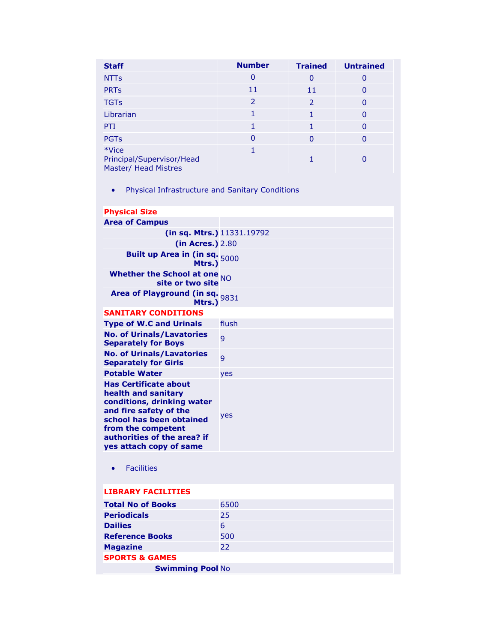| <b>Staff</b>                                               | <b>Number</b> | <b>Trained</b> | <b>Untrained</b> |
|------------------------------------------------------------|---------------|----------------|------------------|
| <b>NTTs</b>                                                | 0             | 0              | 0                |
| <b>PRTs</b>                                                | 11            | 11             | $\Omega$         |
| <b>TGTs</b>                                                | 2             | 2              | $\Omega$         |
| Librarian                                                  |               |                | <sup>0</sup>     |
| PTI                                                        |               |                | $\Omega$         |
| <b>PGTs</b>                                                | 0             | ŋ              | 0                |
| *Vice<br>Principal/Supervisor/Head<br>Master/ Head Mistres |               |                |                  |

[Physical Infrastructure and Sanitary Conditions](javascript:Show_hide_ul()

| <b>Physical Size</b>                                                                                                                                                                                                    |            |
|-------------------------------------------------------------------------------------------------------------------------------------------------------------------------------------------------------------------------|------------|
| <b>Area of Campus</b>                                                                                                                                                                                                   |            |
| (in sq. Mtrs.) 11331.19792                                                                                                                                                                                              |            |
| (in Acres.) 2.80                                                                                                                                                                                                        |            |
| Built up Area in (in sq. $5000$<br>Mtrs.)                                                                                                                                                                               |            |
| Whether the School at one $_{NO}$<br>site or two site                                                                                                                                                                   |            |
| Area of Playground (in sq. 9831<br>Mtrs.)                                                                                                                                                                               |            |
| <b>SANITARY CONDITIONS</b>                                                                                                                                                                                              |            |
| <b>Type of W.C and Urinals</b>                                                                                                                                                                                          | flush      |
| <b>No. of Urinals/Lavatories</b><br><b>Separately for Boys</b>                                                                                                                                                          | 9          |
| <b>No. of Urinals/Lavatories</b><br><b>Separately for Girls</b>                                                                                                                                                         | 9          |
| <b>Potable Water</b>                                                                                                                                                                                                    | yes        |
| <b>Has Certificate about</b><br>health and sanitary<br>conditions, drinking water<br>and fire safety of the<br>school has been obtained<br>from the competent<br>authorities of the area? if<br>yes attach copy of same | <b>yes</b> |
| <b>Facilities</b><br>$\bullet$                                                                                                                                                                                          |            |
| <b>LIBRARY FACILITIES</b>                                                                                                                                                                                               |            |
| <b>Total No of Books</b>                                                                                                                                                                                                | 6500       |
| <b>Periodicals</b>                                                                                                                                                                                                      | 25         |
| <b>Dailies</b>                                                                                                                                                                                                          | 6          |
| <b>Reference Books</b>                                                                                                                                                                                                  | 500        |
| <b>Magazine</b>                                                                                                                                                                                                         | 22         |
| <b>SPORTS &amp; GAMES</b>                                                                                                                                                                                               |            |
| <b>Swimming Pool No</b>                                                                                                                                                                                                 |            |